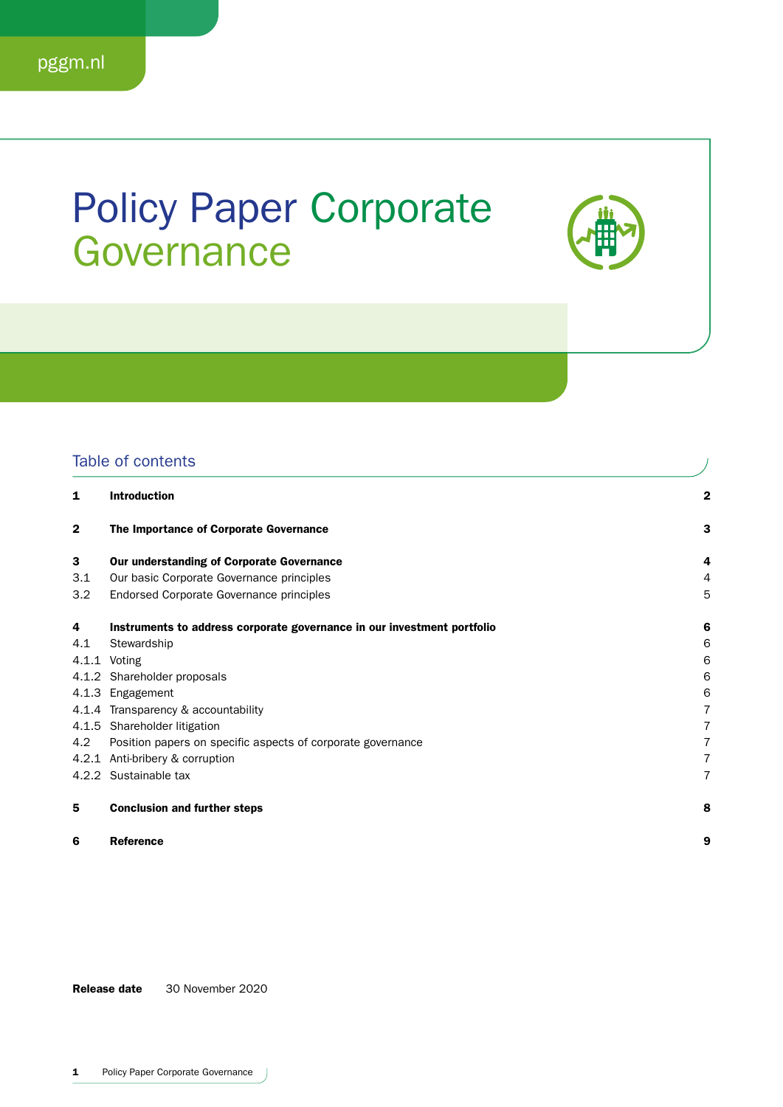## Policy Paper Corporate **Governance**



## Table of contents

| 1              | <b>Introduction</b>                                                     | 2 |
|----------------|-------------------------------------------------------------------------|---|
| $\overline{2}$ | The Importance of Corporate Governance                                  | з |
| 3              | Our understanding of Corporate Governance                               | 4 |
| 3.1            | Our basic Corporate Governance principles                               | 4 |
| 3.2            | Endorsed Corporate Governance principles                                | 5 |
| 4              | Instruments to address corporate governance in our investment portfolio | 6 |
| 4.1            | Stewardship                                                             | 6 |
|                | 4.1.1 Voting                                                            | 6 |
|                | 4.1.2 Shareholder proposals                                             | 6 |
|                | 4.1.3 Engagement                                                        | 6 |
|                | 4.1.4 Transparency & accountability                                     | 7 |
|                | 4.1.5 Shareholder litigation                                            | 7 |
| 4.2            | Position papers on specific aspects of corporate governance             | 7 |
|                | 4.2.1 Anti-bribery & corruption                                         | 7 |
|                | 4.2.2 Sustainable tax                                                   | 7 |
| 5              | <b>Conclusion and further steps</b>                                     | 8 |
| 6              | <b>Reference</b>                                                        | 9 |

Release date 30 November 2020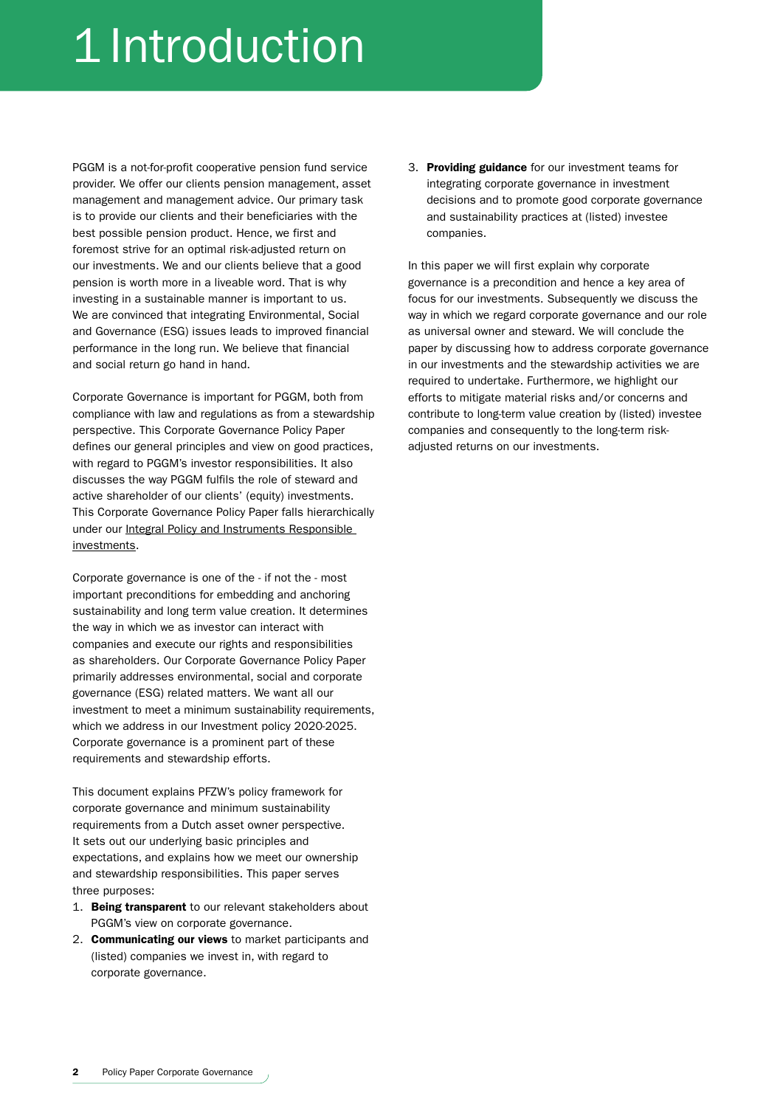# 1 Introduction

PGGM is a not-for-profit cooperative pension fund service provider. We offer our clients pension management, asset management and management advice. Our primary task is to provide our clients and their beneficiaries with the best possible pension product. Hence, we first and foremost strive for an optimal risk-adjusted return on our investments. We and our clients believe that a good pension is worth more in a liveable word. That is why investing in a sustainable manner is important to us. We are convinced that integrating Environmental, Social and Governance (ESG) issues leads to improved financial performance in the long run. We believe that financial and social return go hand in hand.

Corporate Governance is important for PGGM, both from compliance with law and regulations as from a stewardship perspective. This Corporate Governance Policy Paper defines our general principles and view on good practices, with regard to PGGM's investor responsibilities. It also discusses the way PGGM fulfils the role of steward and active shareholder of our clients' (equity) investments. This Corporate Governance Policy Paper falls hierarchically under our Integral Policy and Instruments Responsible [investments](https://www.pfzw.nl/content/dam/pfzw/web/over-ons/zo-beleggen-we/beleggingsbeleid/integraal_beleid_en_instrumentarium_verantwoord_beleggen.pdf).

Corporate governance is one of the - if not the - most important preconditions for embedding and anchoring sustainability and long term value creation. It determines the way in which we as investor can interact with companies and execute our rights and responsibilities as shareholders. Our Corporate Governance Policy Paper primarily addresses environmental, social and corporate governance (ESG) related matters. We want all our investment to meet a minimum sustainability requirements, which we address in our Investment policy 2020-2025. Corporate governance is a prominent part of these requirements and stewardship efforts.

This document explains PFZW's policy framework for corporate governance and minimum sustainability requirements from a Dutch asset owner perspective. It sets out our underlying basic principles and expectations, and explains how we meet our ownership and stewardship responsibilities. This paper serves three purposes:

- 1. Being transparent to our relevant stakeholders about PGGM's view on corporate governance.
- 2. Communicating our views to market participants and (listed) companies we invest in, with regard to corporate governance.

3. Providing guidance for our investment teams for integrating corporate governance in investment decisions and to promote good corporate governance and sustainability practices at (listed) investee companies.

In this paper we will first explain why corporate governance is a precondition and hence a key area of focus for our investments. Subsequently we discuss the way in which we regard corporate governance and our role as universal owner and steward. We will conclude the paper by discussing how to address corporate governance in our investments and the stewardship activities we are required to undertake. Furthermore, we highlight our efforts to mitigate material risks and/or concerns and contribute to long-term value creation by (listed) investee companies and consequently to the long-term riskadiusted returns on our investments.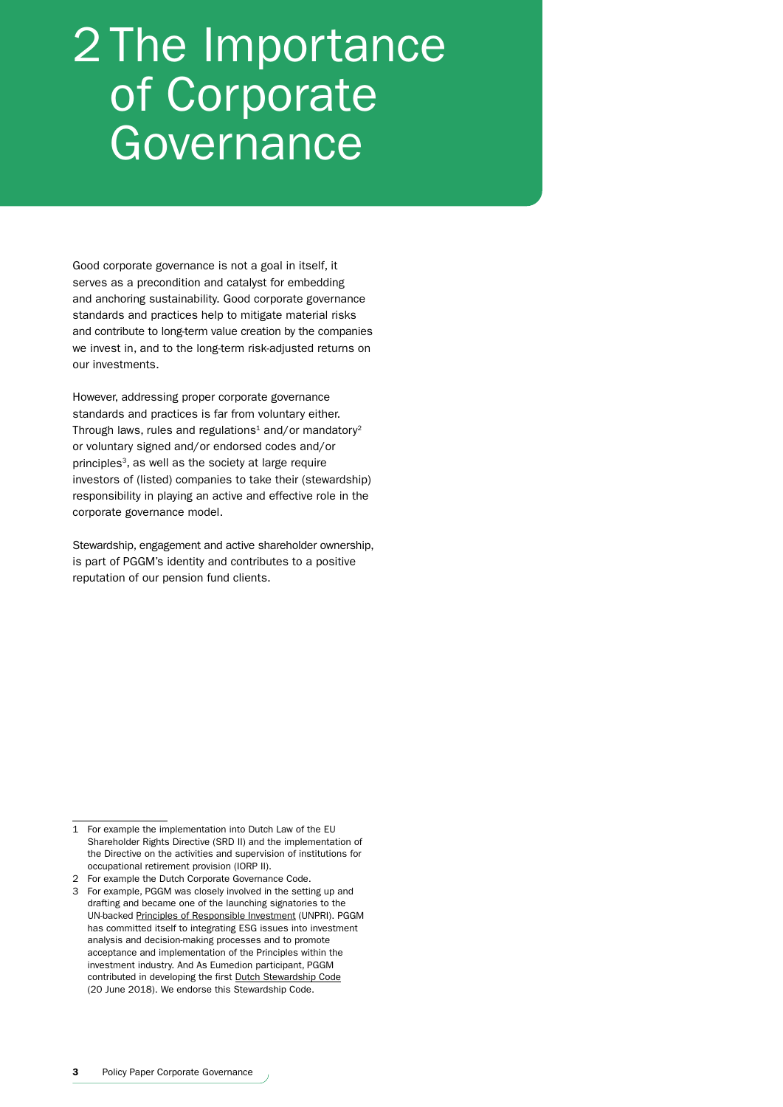## 2 The Importance of Corporate Governance

Good corporate governance is not a goal in itself, it serves as a precondition and catalyst for embedding and anchoring sustainability. Good corporate governance standards and practices help to mitigate material risks and contribute to long-term value creation by the companies we invest in, and to the long-term risk-adjusted returns on our investments.

However, addressing proper corporate governance standards and practices is far from voluntary either. Through laws, rules and regulations<sup>1</sup> and/or mandatory<sup>2</sup> or voluntary signed and/or endorsed codes and/or principles<sup>3</sup>, as well as the society at large require investors of (listed) companies to take their (stewardship) responsibility in playing an active and effective role in the corporate governance model.

Stewardship, engagement and active shareholder ownership, is part of PGGM's identity and contributes to a positive reputation of our pension fund clients.

<sup>1</sup> For example the implementation into Dutch Law of the EU Shareholder Rights Directive (SRD II) and the implementation of the Directive on the activities and supervision of institutions for occupational retirement provision (IORP II).

<sup>2</sup> For example the Dutch Corporate Governance Code.

<sup>3</sup> For example, PGGM was closely involved in the setting up and drafting and became one of the launching signatories to the UN-backed [Principles of Responsible Investment](https://www.unpri.org/) (UNPRI). PGGM has committed itself to integrating ESG issues into investment analysis and decision-making processes and to promote acceptance and implementation of the Principles within the investment industry. And As Eumedion participant, PGGM contributed in developing the first [Dutch Stewardship Code](https://www.eumedion.nl/en/public/knowledgenetwork/best-practices/2018-07-dutch-stewardship-code-final-version.pdf) (20 June 2018). We endorse this Stewardship Code.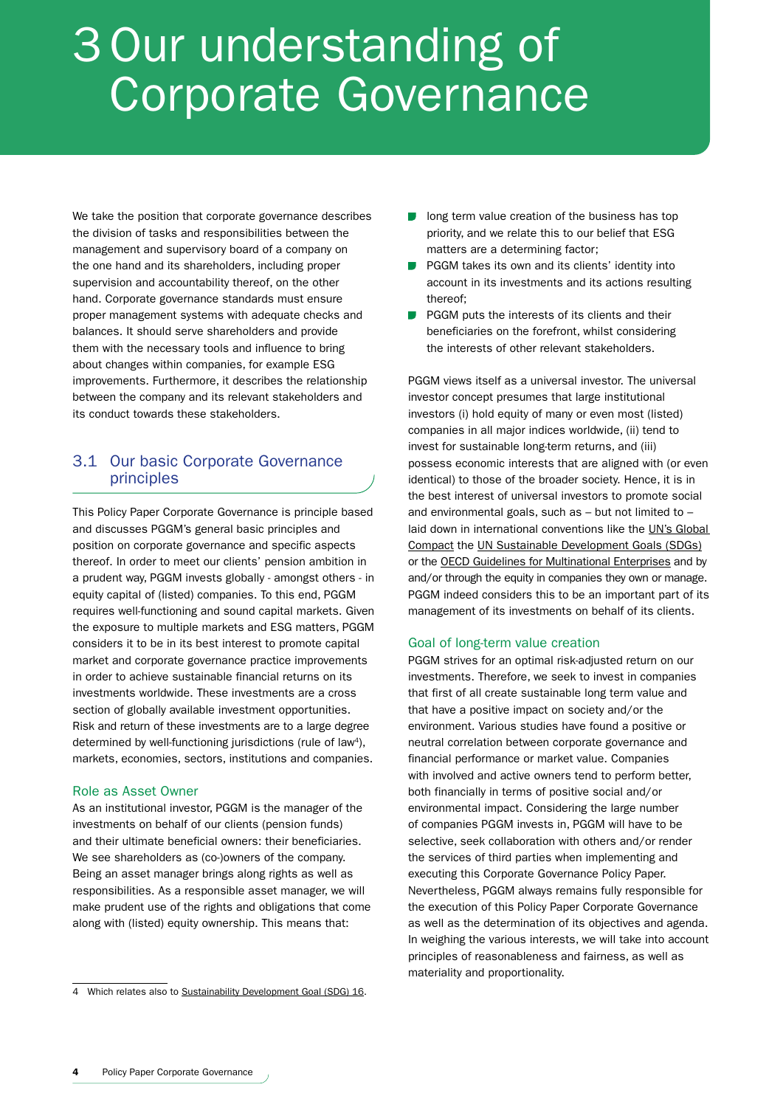## 3Our understanding of Corporate Governance

We take the position that corporate governance describes the division of tasks and responsibilities between the management and supervisory board of a company on the one hand and its shareholders, including proper supervision and accountability thereof, on the other hand. Corporate governance standards must ensure proper management systems with adequate checks and balances. It should serve shareholders and provide them with the necessary tools and influence to bring about changes within companies, for example ESG improvements. Furthermore, it describes the relationship between the company and its relevant stakeholders and its conduct towards these stakeholders.

## 3.1 Our basic Corporate Governance principles

This Policy Paper Corporate Governance is principle based and discusses PGGM's general basic principles and position on corporate governance and specific aspects thereof. In order to meet our clients' pension ambition in a prudent way, PGGM invests globally - amongst others - in equity capital of (listed) companies. To this end, PGGM requires well-functioning and sound capital markets. Given the exposure to multiple markets and ESG matters, PGGM considers it to be in its best interest to promote capital market and corporate governance practice improvements in order to achieve sustainable financial returns on its investments worldwide. These investments are a cross section of globally available investment opportunities. Risk and return of these investments are to a large degree determined by well-functioning jurisdictions (rule of law<sup>4</sup>). markets, economies, sectors, institutions and companies.

## Role as Asset Owner

As an institutional investor, PGGM is the manager of the investments on behalf of our clients (pension funds) and their ultimate beneficial owners: their beneficiaries. We see shareholders as (co-)owners of the company. Being an asset manager brings along rights as well as responsibilities. As a responsible asset manager, we will make prudent use of the rights and obligations that come along with (listed) equity ownership. This means that:

- long term value creation of the business has top priority, and we relate this to our belief that ESG matters are a determining factor;
- $\Box$ PGGM takes its own and its clients' identity into account in its investments and its actions resulting thereof;
- $\sim 10$ PGGM puts the interests of its clients and their beneficiaries on the forefront, whilst considering the interests of other relevant stakeholders.

PGGM views itself as a universal investor. The universal investor concept presumes that large institutional investors (i) hold equity of many or even most (listed) companies in all major indices worldwide, (ii) tend to invest for sustainable long-term returns, and (iii) possess economic interests that are aligned with (or even identical) to those of the broader society. Hence, it is in the best interest of universal investors to promote social and environmental goals, such as – but not limited to – laid down in international conventions like the [UN's Global](https://www.unglobalcompact.org/)  [Compact](https://www.unglobalcompact.org/) the [UN Sustainable Development Goals \(SDGs\)](https://sustainabledevelopment.un.org/?menu=1300) or the [OECD Guidelines for Multinational Enterprises](http://www.oecd.org/corporate/mne/) and by and/or through the equity in companies they own or manage. PGGM indeed considers this to be an important part of its management of its investments on behalf of its clients.

## Goal of long-term value creation

PGGM strives for an optimal risk-adjusted return on our investments. Therefore, we seek to invest in companies that first of all create sustainable long term value and that have a positive impact on society and/or the environment. Various studies have found a positive or neutral correlation between corporate governance and financial performance or market value. Companies with involved and active owners tend to perform better, both financially in terms of positive social and/or environmental impact. Considering the large number of companies PGGM invests in, PGGM will have to be selective, seek collaboration with others and/or render the services of third parties when implementing and executing this Corporate Governance Policy Paper. Nevertheless, PGGM always remains fully responsible for the execution of this Policy Paper Corporate Governance as well as the determination of its objectives and agenda. In weighing the various interests, we will take into account principles of reasonableness and fairness, as well as materiality and proportionality.

<sup>4</sup> [Which relates also to Sustainability Development Goal \(SDG\) 16.](https://sdgs.un.org/goals/goal16)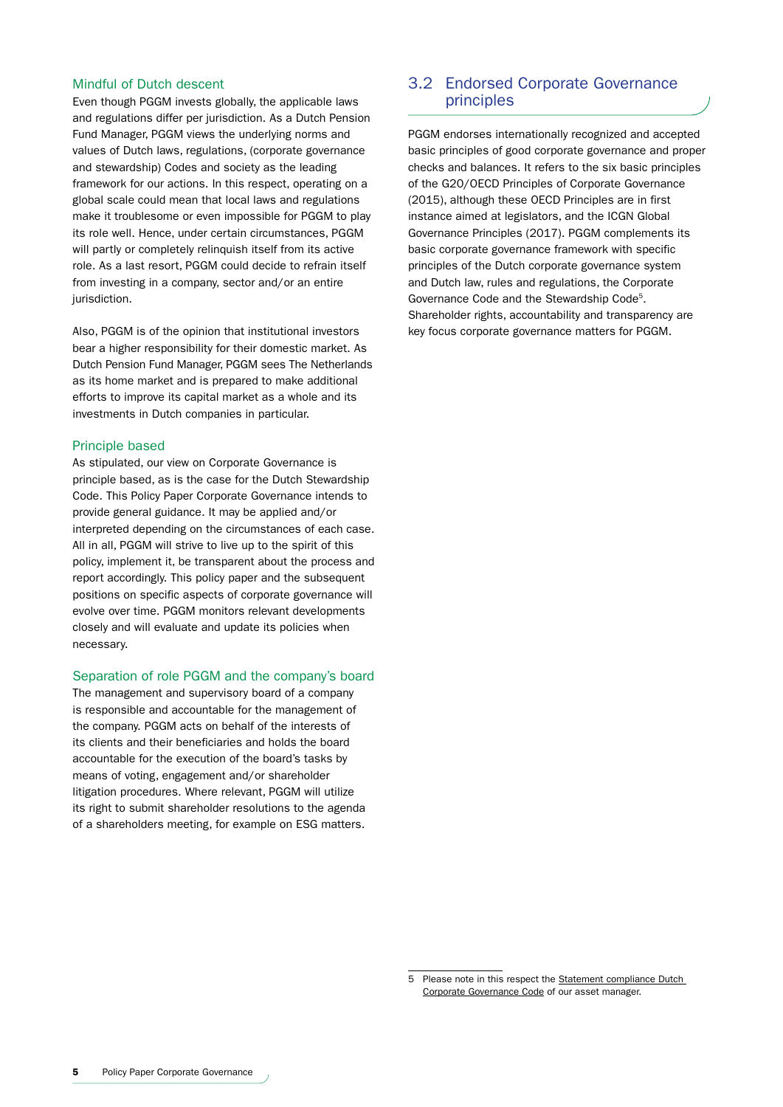### Mindful of Dutch descent

Even though PGGM invests globally, the applicable laws and regulations differ per jurisdiction. As a Dutch Pension Fund Manager, PGGM views the underlying norms and values of Dutch laws, regulations, (corporate governance and stewardship) Codes and society as the leading framework for our actions. In this respect, operating on a global scale could mean that local laws and regulations make it troublesome or even impossible for PGGM to play its role well. Hence, under certain circumstances, PGGM will partly or completely relinquish itself from its active role. As a last resort, PGGM could decide to refrain itself from investing in a company, sector and/or an entire jurisdiction.

Also, PGGM is of the opinion that institutional investors bear a higher responsibility for their domestic market. As Dutch Pension Fund Manager, PGGM sees The Netherlands as its home market and is prepared to make additional efforts to improve its capital market as a whole and its investments in Dutch companies in particular.

### Principle based

As stipulated, our view on Corporate Governance is principle based, as is the case for the Dutch Stewardship Code. This Policy Paper Corporate Governance intends to provide general guidance. It may be applied and/or interpreted depending on the circumstances of each case. All in all, PGGM will strive to live up to the spirit of this policy, implement it, be transparent about the process and report accordingly. This policy paper and the subsequent positions on specific aspects of corporate governance will evolve over time. PGGM monitors relevant developments closely and will evaluate and update its policies when necessary.

#### Separation of role PGGM and the company's board

The management and supervisory board of a company is responsible and accountable for the management of the company. PGGM acts on behalf of the interests of its clients and their beneficiaries and holds the board accountable for the execution of the board's tasks by means of voting, engagement and/or shareholder litigation procedures. Where relevant, PGGM will utilize its right to submit shareholder resolutions to the agenda of a shareholders meeting, for example on ESG matters.

## 3.2 Endorsed Corporate Governance principles

PGGM endorses internationally recognized and accepted basic principles of good corporate governance and proper checks and balances. It refers to the six basic principles of the G20/OECD Principles of Corporate Governance (2015), although these OECD Principles are in first instance aimed at legislators, and the ICGN Global Governance Principles (2017). PGGM complements its basic corporate governance framework with specific principles of the Dutch corporate governance system and Dutch law, rules and regulations, the Corporate Governance Code and the Stewardship Code5. Shareholder rights, accountability and transparency are key focus corporate governance matters for PGGM.

<sup>5</sup> Please note in this respect the [Statement compliance Dutch](https://www.pggm.nl/onze-diensten/statement-compliance-dutch-corporate-governance-code/)  [Corporate Governance Code](https://www.pggm.nl/onze-diensten/statement-compliance-dutch-corporate-governance-code/) of our asset manager.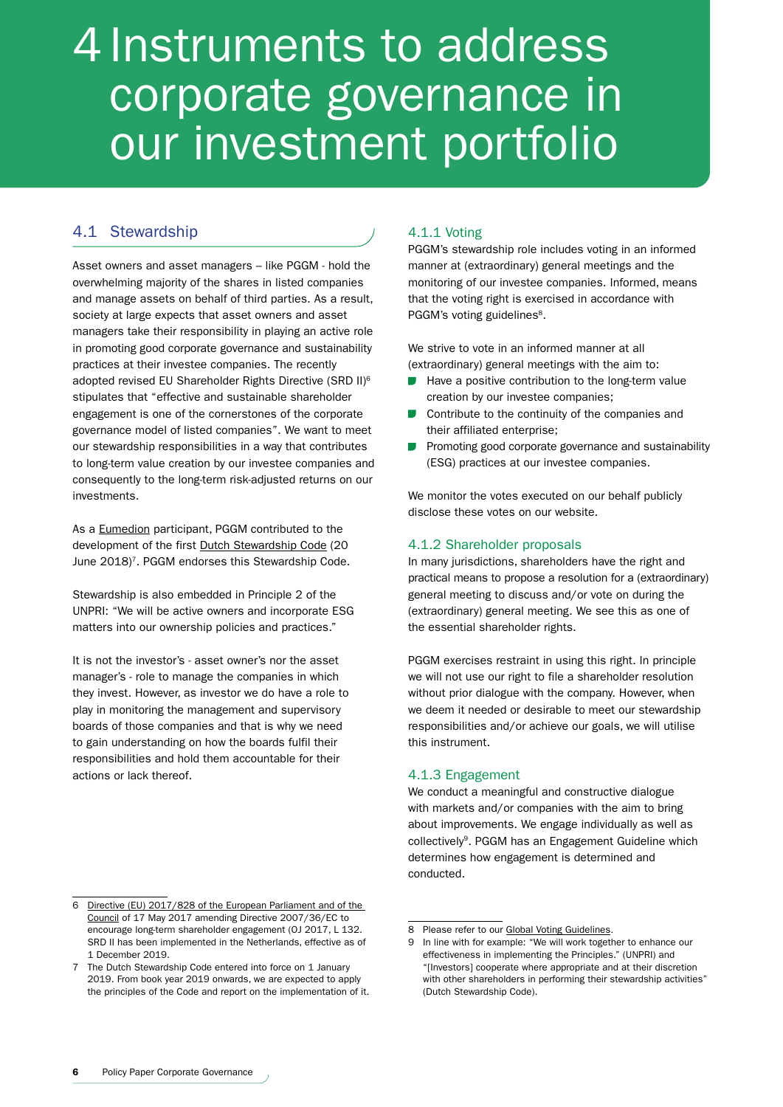## 4 Instruments to address corporate governance in our investment portfolio

## 4.1 Stewardship

Asset owners and asset managers – like PGGM - hold the overwhelming majority of the shares in listed companies and manage assets on behalf of third parties. As a result, society at large expects that asset owners and asset managers take their responsibility in playing an active role in promoting good corporate governance and sustainability practices at their investee companies. The recently adopted revised EU Shareholder Rights Directive (SRD II)6 stipulates that "effective and sustainable shareholder engagement is one of the cornerstones of the corporate governance model of listed companies". We want to meet our stewardship responsibilities in a way that contributes to long-term value creation by our investee companies and consequently to the long-term risk-adjusted returns on our investments.

As a [Eumedion](http://www.eumedion.nl/) participant, PGGM contributed to the development of the first [Dutch Stewardship Code](https://www.eumedion.nl/en/public/knowledgenetwork/best-practices/2018-07-dutch-stewardship-code-final-version.pdf) (20 June 2018)<sup>7</sup>. PGGM endorses this Stewardship Code.

Stewardship is also embedded in Principle 2 of the UNPRI: "We will be active owners and incorporate ESG matters into our ownership policies and practices."

It is not the investor's - asset owner's nor the asset manager's - role to manage the companies in which they invest. However, as investor we do have a role to play in monitoring the management and supervisory boards of those companies and that is why we need to gain understanding on how the boards fulfil their responsibilities and hold them accountable for their actions or lack thereof.

## 4.1.1 Voting

PGGM's stewardship role includes voting in an informed manner at (extraordinary) general meetings and the monitoring of our investee companies. Informed, means that the voting right is exercised in accordance with PGGM's voting guidelines<sup>8</sup>.

We strive to vote in an informed manner at all (extraordinary) general meetings with the aim to:

- Have a positive contribution to the long-term value creation by our investee companies;
- $\blacksquare$ Contribute to the continuity of the companies and their affiliated enterprise;
- Promoting good corporate governance and sustainability (ESG) practices at our investee companies.

We monitor the votes executed on our behalf publicly disclose these votes on our website.

### 4.1.2 Shareholder proposals

In many jurisdictions, shareholders have the right and practical means to propose a resolution for a (extraordinary) general meeting to discuss and/or vote on during the (extraordinary) general meeting. We see this as one of the essential shareholder rights.

PGGM exercises restraint in using this right. In principle we will not use our right to file a shareholder resolution without prior dialogue with the company. However, when we deem it needed or desirable to meet our stewardship responsibilities and/or achieve our goals, we will utilise this instrument.

## 4.1.3 Engagement

We conduct a meaningful and constructive dialogue with markets and/or companies with the aim to bring about improvements. We engage individually as well as collectively9. PGGM has an Engagement Guideline which determines how engagement is determined and conducted.

<sup>6</sup> [Directive \(EU\) 2017/828 of the European Parliament and of the](http://eur-lex.europa.eu/legal-content/EN/TXT/PDF/?uri=CELEX:32017L0828&from=EN))  [Council](http://eur-lex.europa.eu/legal-content/EN/TXT/PDF/?uri=CELEX:32017L0828&from=EN)) of 17 May 2017 amending Directive 2007/36/EC to encourage long-term shareholder engagement (OJ 2017, L 132. SRD II has been implemented in the Netherlands, effective as of 1 December 2019.

<sup>7</sup> The Dutch Stewardship Code entered into force on 1 January 2019. From book year 2019 onwards, we are expected to apply the principles of the Code and report on the implementation of it.

<sup>8</sup> Please refer to our [Global Voting Guidelines](https://www.pggm.nl/english/what-we-do/Documents/pggm-global-voting-guidelines_2020.pdf).

<sup>9</sup> In line with for example: "We will work together to enhance our effectiveness in implementing the Principles." (UNPRI) and "[Investors] cooperate where appropriate and at their discretion with other shareholders in performing their stewardship activities" (Dutch Stewardship Code).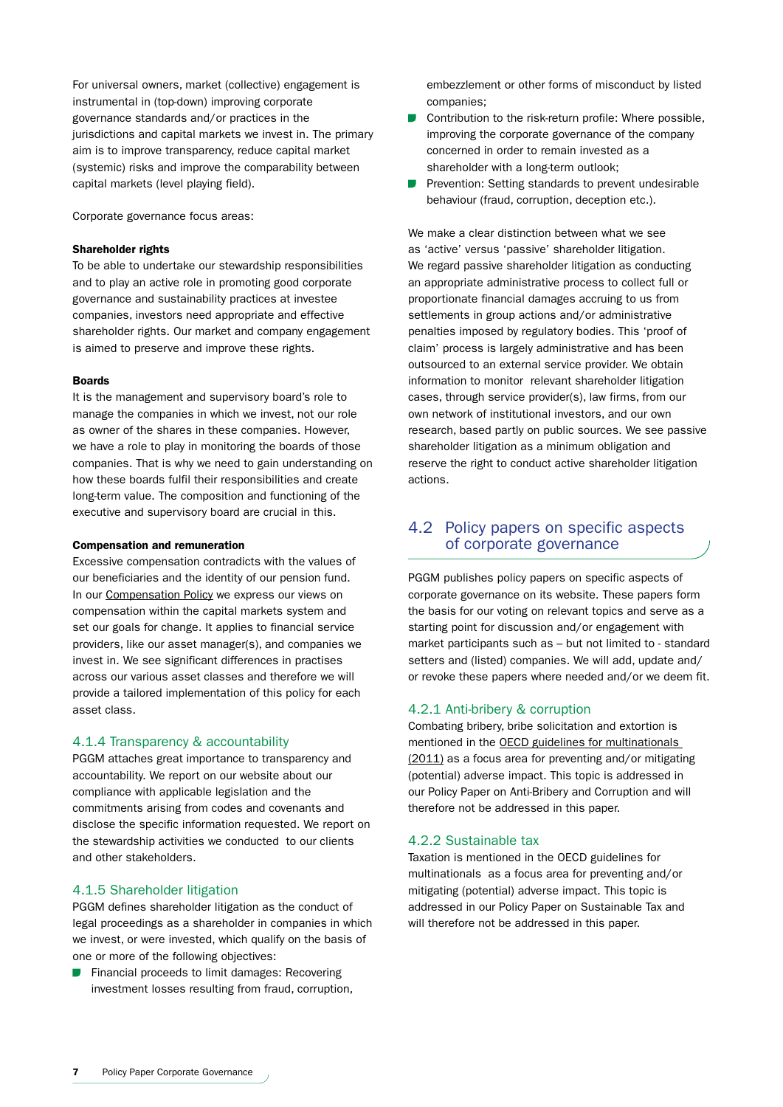For universal owners, market (collective) engagement is instrumental in (top-down) improving corporate governance standards and/or practices in the jurisdictions and capital markets we invest in. The primary aim is to improve transparency, reduce capital market (systemic) risks and improve the comparability between capital markets (level playing field).

Corporate governance focus areas:

#### Shareholder rights

To be able to undertake our stewardship responsibilities and to play an active role in promoting good corporate governance and sustainability practices at investee companies, investors need appropriate and effective shareholder rights. Our market and company engagement is aimed to preserve and improve these rights.

#### Boards

It is the management and supervisory board's role to manage the companies in which we invest, not our role as owner of the shares in these companies. However, we have a role to play in monitoring the boards of those companies. That is why we need to gain understanding on how these boards fulfil their responsibilities and create long-term value. The composition and functioning of the executive and supervisory board are crucial in this.

#### Compensation and remuneration

Excessive compensation contradicts with the values of our beneficiaries and the identity of our pension fund. In our [Compensation Policy](https://www.pfzw.nl/Documents/About-us/PFZW_Compensation_Policy.pdf) we express our views on compensation within the capital markets system and set our goals for change. It applies to financial service providers, like our asset manager(s), and companies we invest in. We see significant differences in practises across our various asset classes and therefore we will provide a tailored implementation of this policy for each asset class.

## 4.1.4 Transparency & accountability

PGGM attaches great importance to transparency and accountability. We report on our website about our compliance with applicable legislation and the commitments arising from codes and covenants and disclose the specific information requested. We report on the stewardship activities we conducted to our clients and other stakeholders.

### 4.1.5 Shareholder litigation

PGGM defines shareholder litigation as the conduct of legal proceedings as a shareholder in companies in which we invest, or were invested, which qualify on the basis of one or more of the following objectives:

Financial proceeds to limit damages: Recovering investment losses resulting from fraud, corruption,

embezzlement or other forms of misconduct by listed companies;

- Contribution to the risk-return profile: Where possible, improving the corporate governance of the company concerned in order to remain invested as a shareholder with a long-term outlook;
- Prevention: Setting standards to prevent undesirable behaviour (fraud, corruption, deception etc.).

We make a clear distinction between what we see as 'active' versus 'passive' shareholder litigation. We regard passive shareholder litigation as conducting an appropriate administrative process to collect full or proportionate financial damages accruing to us from settlements in group actions and/or administrative penalties imposed by regulatory bodies. This 'proof of claim' process is largely administrative and has been outsourced to an external service provider. We obtain information to monitor relevant shareholder litigation cases, through service provider(s), law firms, from our own network of institutional investors, and our own research, based partly on public sources. We see passive shareholder litigation as a minimum obligation and reserve the right to conduct active shareholder litigation actions.

## 4.2 Policy papers on specific aspects of corporate governance

PGGM publishes policy papers on specific aspects of corporate governance on its website. These papers form the basis for our voting on relevant topics and serve as a starting point for discussion and/or engagement with market participants such as – but not limited to - standard setters and (listed) companies. We will add, update and/ or revoke these papers where needed and/or we deem fit.

#### 4.2.1 Anti-bribery & corruption

Combating bribery, bribe solicitation and extortion is mentioned in the [OECD guidelines for multinationals](http://www.oecd.org/daf/inv/mne/48004323.pdf)  [\(2011\)](http://www.oecd.org/daf/inv/mne/48004323.pdf) as a focus area for preventing and/or mitigating (potential) adverse impact. This topic is addressed in our Policy Paper on Anti-Bribery and Corruption and will therefore not be addressed in this paper.

### 4.2.2 Sustainable tax

Taxation is mentioned in the OECD guidelines for multinationals as a focus area for preventing and/or mitigating (potential) adverse impact. This topic is addressed in our Policy Paper on Sustainable Tax and will therefore not be addressed in this paper.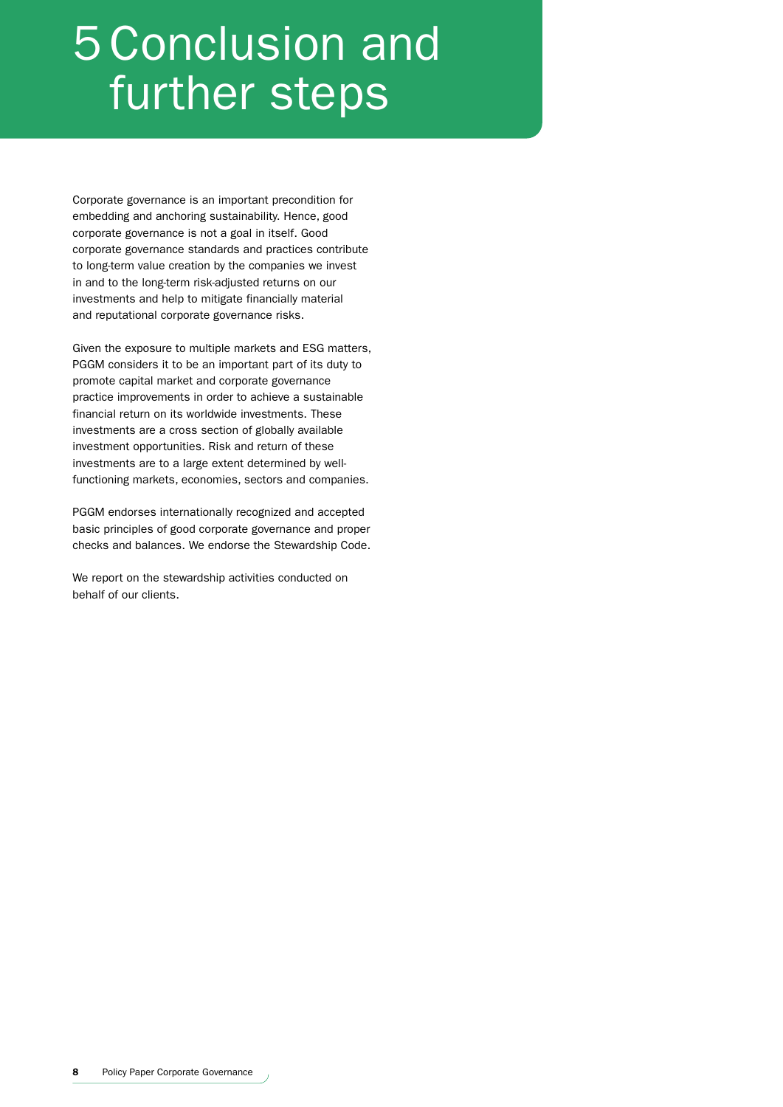## 5 Conclusion and further steps

Corporate governance is an important precondition for embedding and anchoring sustainability. Hence, good corporate governance is not a goal in itself. Good corporate governance standards and practices contribute to long-term value creation by the companies we invest in and to the long-term risk-adjusted returns on our investments and help to mitigate financially material and reputational corporate governance risks.

Given the exposure to multiple markets and ESG matters, PGGM considers it to be an important part of its duty to promote capital market and corporate governance practice improvements in order to achieve a sustainable financial return on its worldwide investments. These investments are a cross section of globally available investment opportunities. Risk and return of these investments are to a large extent determined by wellfunctioning markets, economies, sectors and companies.

PGGM endorses internationally recognized and accepted basic principles of good corporate governance and proper checks and balances. We endorse the Stewardship Code.

We report on the stewardship activities conducted on behalf of our clients.